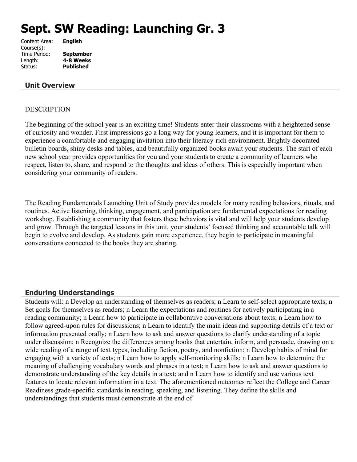# **Sept. SW Reading: Launching Gr. 3**

| Content Area: | <b>English</b>   |
|---------------|------------------|
| Course(s):    |                  |
| Time Period:  | <b>September</b> |
| Length:       | 4-8 Weeks        |
| Status:       | <b>Published</b> |
|               |                  |

## **Unit Overview**

#### DESCRIPTION

The beginning of the school year is an exciting time! Students enter their classrooms with a heightened sense of curiosity and wonder. First impressions go a long way for young learners, and it is important for them to experience a comfortable and engaging invitation into their literacy-rich environment. Brightly decorated bulletin boards, shiny desks and tables, and beautifully organized books await your students. The start of each new school year provides opportunities for you and your students to create a community of learners who respect, listen to, share, and respond to the thoughts and ideas of others. This is especially important when considering your community of readers.

The Reading Fundamentals Launching Unit of Study provides models for many reading behaviors, rituals, and routines. Active listening, thinking, engagement, and participation are fundamental expectations for reading workshop. Establishing a community that fosters these behaviors is vital and will help your students develop and grow. Through the targeted lessons in this unit, your students' focused thinking and accountable talk will begin to evolve and develop. As students gain more experience, they begin to participate in meaningful conversations connected to the books they are sharing.

#### **Enduring Understandings**

Students will: n Develop an understanding of themselves as readers; n Learn to self-select appropriate texts; n Set goals for themselves as readers; n Learn the expectations and routines for actively participating in a reading community; n Learn how to participate in collaborative conversations about texts; n Learn how to follow agreed-upon rules for discussions; n Learn to identify the main ideas and supporting details of a text or information presented orally; n Learn how to ask and answer questions to clarify understanding of a topic under discussion; n Recognize the differences among books that entertain, inform, and persuade, drawing on a wide reading of a range of text types, including fiction, poetry, and nonfiction; n Develop habits of mind for engaging with a variety of texts; n Learn how to apply self-monitoring skills; n Learn how to determine the meaning of challenging vocabulary words and phrases in a text; n Learn how to ask and answer questions to demonstrate understanding of the key details in a text; and n Learn how to identify and use various text features to locate relevant information in a text. The aforementioned outcomes reflect the College and Career Readiness grade-specific standards in reading, speaking, and listening. They define the skills and understandings that students must demonstrate at the end of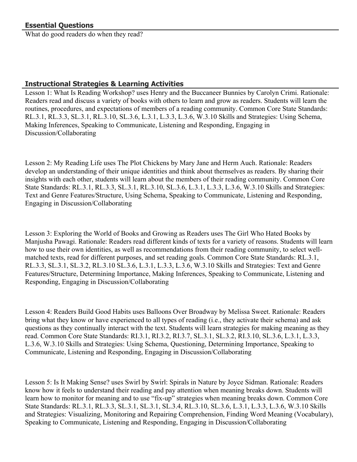What do good readers do when they read?

## **Instructional Strategies & Learning Activities**

Lesson 1: What Is Reading Workshop? uses Henry and the Buccaneer Bunnies by Carolyn Crimi. Rationale: Readers read and discuss a variety of books with others to learn and grow as readers. Students will learn the routines, procedures, and expectations of members of a reading community. Common Core State Standards: RL.3.1, RL.3.3, SL.3.1, RL.3.10, SL.3.6, L.3.1, L.3.3, L.3.6, W.3.10 Skills and Strategies: Using Schema, Making Inferences, Speaking to Communicate, Listening and Responding, Engaging in Discussion/Collaborating

Lesson 2: My Reading Life uses The Plot Chickens by Mary Jane and Herm Auch. Rationale: Readers develop an understanding of their unique identities and think about themselves as readers. By sharing their insights with each other, students will learn about the members of their reading community. Common Core State Standards: RL.3.1, RL.3.3, SL.3.1, RL.3.10, SL.3.6, L.3.1, L.3.3, L.3.6, W.3.10 Skills and Strategies: Text and Genre Features/Structure, Using Schema, Speaking to Communicate, Listening and Responding, Engaging in Discussion/Collaborating

Lesson 3: Exploring the World of Books and Growing as Readers uses The Girl Who Hated Books by Manjusha Pawagi. Rationale: Readers read different kinds of texts for a variety of reasons. Students will learn how to use their own identities, as well as recommendations from their reading community, to select wellmatched texts, read for different purposes, and set reading goals. Common Core State Standards: RL.3.1, RL.3.3, SL.3.1, SL.3.2, RL.3.10 SL.3.6, L.3.1, L.3.3, L.3.6, W.3.10 Skills and Strategies: Text and Genre Features/Structure, Determining Importance, Making Inferences, Speaking to Communicate, Listening and Responding, Engaging in Discussion/Collaborating

Lesson 4: Readers Build Good Habits uses Balloons Over Broadway by Melissa Sweet. Rationale: Readers bring what they know or have experienced to all types of reading (i.e., they activate their schema) and ask questions as they continually interact with the text. Students will learn strategies for making meaning as they read. Common Core State Standards: RI.3.1, RI.3.2, RI.3.7, SL.3.1, SL.3.2, RI.3.10, SL.3.6, L.3.1, L.3.3, L.3.6, W.3.10 Skills and Strategies: Using Schema, Questioning, Determining Importance, Speaking to Communicate, Listening and Responding, Engaging in Discussion/Collaborating

Lesson 5: Is It Making Sense? uses Swirl by Swirl: Spirals in Nature by Joyce Sidman. Rationale: Readers know how it feels to understand their reading and pay attention when meaning breaks down. Students will learn how to monitor for meaning and to use "fix-up" strategies when meaning breaks down. Common Core State Standards: RL.3.1, RL.3.3, SL.3.1, SL.3.1, SL.3.4, RL.3.10, SL.3.6, L.3.1, L.3.3, L.3.6, W.3.10 Skills and Strategies: Visualizing, Monitoring and Repairing Comprehension, Finding Word Meaning (Vocabulary), Speaking to Communicate, Listening and Responding, Engaging in Discussion/Collaborating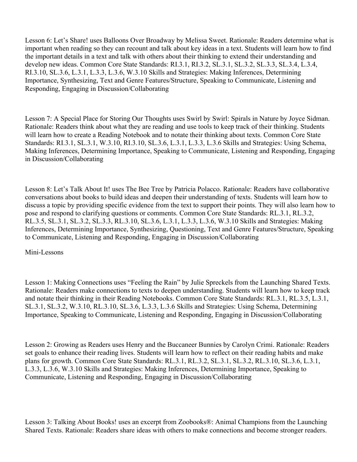Lesson 6: Let's Share! uses Balloons Over Broadway by Melissa Sweet. Rationale: Readers determine what is important when reading so they can recount and talk about key ideas in a text. Students will learn how to find the important details in a text and talk with others about their thinking to extend their understanding and develop new ideas. Common Core State Standards: RI.3.1, RI.3.2, SL.3.1, SL.3.2, SL.3.3, SL.3.4, L.3.4, RI.3.10, SL.3.6, L.3.1, L.3.3, L.3.6, W.3.10 Skills and Strategies: Making Inferences, Determining Importance, Synthesizing, Text and Genre Features/Structure, Speaking to Communicate, Listening and Responding, Engaging in Discussion/Collaborating

Lesson 7: A Special Place for Storing Our Thoughts uses Swirl by Swirl: Spirals in Nature by Joyce Sidman. Rationale: Readers think about what they are reading and use tools to keep track of their thinking. Students will learn how to create a Reading Notebook and to notate their thinking about texts. Common Core State Standards: RI.3.1, SL.3.1, W.3.10, RI.3.10, SL.3.6, L.3.1, L.3.3, L.3.6 Skills and Strategies: Using Schema, Making Inferences, Determining Importance, Speaking to Communicate, Listening and Responding, Engaging in Discussion/Collaborating

Lesson 8: Let's Talk About It! uses The Bee Tree by Patricia Polacco. Rationale: Readers have collaborative conversations about books to build ideas and deepen their understanding of texts. Students will learn how to discuss a topic by providing specific evidence from the text to support their points. They will also learn how to pose and respond to clarifying questions or comments. Common Core State Standards: RL.3.1, RL.3.2, RL.3.5, SL.3.1, SL.3.2, SL.3.3, RL.3.10, SL.3.6, L.3.1, L.3.3, L.3.6, W.3.10 Skills and Strategies: Making Inferences, Determining Importance, Synthesizing, Questioning, Text and Genre Features/Structure, Speaking to Communicate, Listening and Responding, Engaging in Discussion/Collaborating

Mini-Lessons

Lesson 1: Making Connections uses "Feeling the Rain" by Julie Spreckels from the Launching Shared Texts. Rationale: Readers make connections to texts to deepen understanding. Students will learn how to keep track and notate their thinking in their Reading Notebooks. Common Core State Standards: RL.3.1, RL.3.5, L.3.1, SL.3.1, SL.3.2, W.3.10, RL.3.10, SL.3.6, L.3.3, L.3.6 Skills and Strategies: Using Schema, Determining Importance, Speaking to Communicate, Listening and Responding, Engaging in Discussion/Collaborating

Lesson 2: Growing as Readers uses Henry and the Buccaneer Bunnies by Carolyn Crimi. Rationale: Readers set goals to enhance their reading lives. Students will learn how to reflect on their reading habits and make plans for growth. Common Core State Standards: RL.3.1, RL.3.2, SL.3.1, SL.3.2, RL.3.10, SL.3.6, L.3.1, L.3.3, L.3.6, W.3.10 Skills and Strategies: Making Inferences, Determining Importance, Speaking to Communicate, Listening and Responding, Engaging in Discussion/Collaborating

Lesson 3: Talking About Books! uses an excerpt from Zoobooks®: Animal Champions from the Launching Shared Texts. Rationale: Readers share ideas with others to make connections and become stronger readers.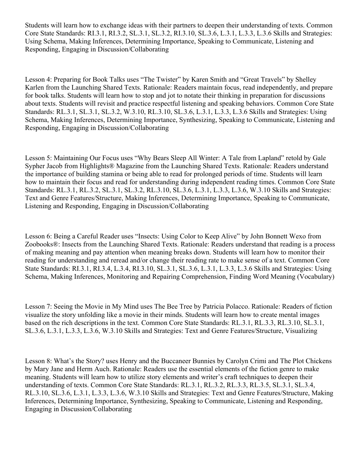Students will learn how to exchange ideas with their partners to deepen their understanding of texts. Common Core State Standards: RI.3.1, RI.3.2, SL.3.1, SL.3.2, RI.3.10, SL.3.6, L.3.1, L.3.3, L.3.6 Skills and Strategies: Using Schema, Making Inferences, Determining Importance, Speaking to Communicate, Listening and Responding, Engaging in Discussion/Collaborating

Lesson 4: Preparing for Book Talks uses "The Twister" by Karen Smith and "Great Travels" by Shelley Karlen from the Launching Shared Texts. Rationale: Readers maintain focus, read independently, and prepare for book talks. Students will learn how to stop and jot to notate their thinking in preparation for discussions about texts. Students will revisit and practice respectful listening and speaking behaviors. Common Core State Standards: RL.3.1, SL.3.1, SL.3.2, W.3.10, RL.3.10, SL.3.6, L.3.1, L.3.3, L.3.6 Skills and Strategies: Using Schema, Making Inferences, Determining Importance, Synthesizing, Speaking to Communicate, Listening and Responding, Engaging in Discussion/Collaborating

Lesson 5: Maintaining Our Focus uses "Why Bears Sleep All Winter: A Tale from Lapland" retold by Gale Sypher Jacob from Highlights® Magazine from the Launching Shared Texts. Rationale: Readers understand the importance of building stamina or being able to read for prolonged periods of time. Students will learn how to maintain their focus and read for understanding during independent reading times. Common Core State Standards: RL.3.1, RL.3.2, SL.3.1, SL.3.2, RL.3.10, SL.3.6, L.3.1, L.3.3, L.3.6, W.3.10 Skills and Strategies: Text and Genre Features/Structure, Making Inferences, Determining Importance, Speaking to Communicate, Listening and Responding, Engaging in Discussion/Collaborating

Lesson 6: Being a Careful Reader uses "Insects: Using Color to Keep Alive" by John Bonnett Wexo from Zoobooks®: Insects from the Launching Shared Texts. Rationale: Readers understand that reading is a process of making meaning and pay attention when meaning breaks down. Students will learn how to monitor their reading for understanding and reread and/or change their reading rate to make sense of a text. Common Core State Standards: RI.3.1, RI.3.4, L.3.4, RI.3.10, SL.3.1, SL.3.6, L.3.1, L.3.3, L.3.6 Skills and Strategies: Using Schema, Making Inferences, Monitoring and Repairing Comprehension, Finding Word Meaning (Vocabulary)

Lesson 7: Seeing the Movie in My Mind uses The Bee Tree by Patricia Polacco. Rationale: Readers of fiction visualize the story unfolding like a movie in their minds. Students will learn how to create mental images based on the rich descriptions in the text. Common Core State Standards: RL.3.1, RL.3.3, RL.3.10, SL.3.1, SL.3.6, L.3.1, L.3.3, L.3.6, W.3.10 Skills and Strategies: Text and Genre Features/Structure, Visualizing

Lesson 8: What's the Story? uses Henry and the Buccaneer Bunnies by Carolyn Crimi and The Plot Chickens by Mary Jane and Herm Auch. Rationale: Readers use the essential elements of the fiction genre to make meaning. Students will learn how to utilize story elements and writer's craft techniques to deepen their understanding of texts. Common Core State Standards: RL.3.1, RL.3.2, RL.3.3, RL.3.5, SL.3.1, SL.3.4, RL.3.10, SL.3.6, L.3.1, L.3.3, L.3.6, W.3.10 Skills and Strategies: Text and Genre Features/Structure, Making Inferences, Determining Importance, Synthesizing, Speaking to Communicate, Listening and Responding, Engaging in Discussion/Collaborating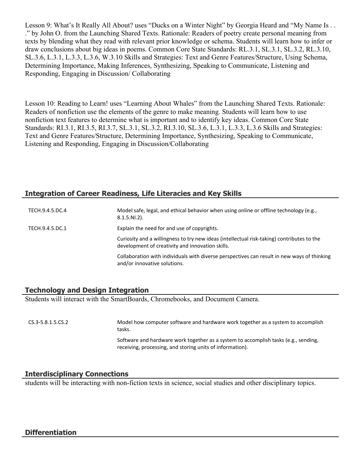Lesson 9: What's It Really All About? uses "Ducks on a Winter Night" by Georgia Heard and "My Name Is . . ." by John O. from the Launching Shared Texts. Rationale: Readers of poetry create personal meaning from texts by blending what they read with relevant prior knowledge or schema. Students will learn how to infer or draw conclusions about big ideas in poems. Common Core State Standards: RL.3.1, SL.3.1, SL.3.2, RL.3.10, SL.3.6, L.3.1, L.3.3, L.3.6, W.3.10 Skills and Strategies: Text and Genre Features/Structure, Using Schema, Determining Importance, Making Inferences, Synthesizing, Speaking to Communicate, Listening and Responding, Engaging in Discussion/ Collaborating

Lesson 10: Reading to Learn! uses "Learning About Whales" from the Launching Shared Texts. Rationale: Readers of nonfiction use the elements of the genre to make meaning. Students will learn how to use nonfiction text features to determine what is important and to identify key ideas. Common Core State Standards: RI.3.1, RI.3.5, RI.3.7, SL.3.1, SL.3.2, RI.3.10, SL.3.6, L.3.1, L.3.3, L.3.6 Skills and Strategies: Text and Genre Features/Structure, Determining Importance, Synthesizing, Speaking to Communicate, Listening and Responding, Engaging in Discussion/Collaborating

## **Integration of Career Readiness, Life Literacies and Key Skills**

| TECH.9.4.5.DC.4 | Model safe, legal, and ethical behavior when using online or offline technology (e.g.,<br>$8.1.5.NI.2$ ).                                      |
|-----------------|------------------------------------------------------------------------------------------------------------------------------------------------|
| TECH.9.4.5.DC.1 | Explain the need for and use of copyrights.                                                                                                    |
|                 | Curiosity and a willingness to try new ideas (intellectual risk-taking) contributes to the<br>development of creativity and innovation skills. |
|                 | Collaboration with individuals with diverse perspectives can result in new ways of thinking<br>and/or innovative solutions.                    |

## **Technology and Design Integration**

Students will interact with the SmartBoards, Chromebooks, and Document Camera.

CS.3-5.8.1.5.CS.2 Model how computer software and hardware work together as a system to accomplish tasks. Software and hardware work together as a system to accomplish tasks (e.g., sending, receiving, processing, and storing units of information).

## **Interdisciplinary Connections**

students will be interacting with non-fiction texts in science, social studies and other disciplinary topics.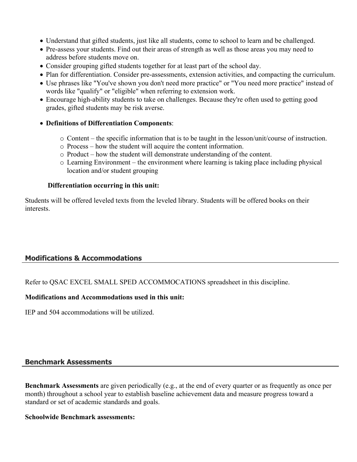- Understand that gifted students, just like all students, come to school to learn and be challenged.
- Pre-assess your students. Find out their areas of strength as well as those areas you may need to address before students move on.
- Consider grouping gifted students together for at least part of the school day.
- Plan for differentiation. Consider pre-assessments, extension activities, and compacting the curriculum.
- Use phrases like "You've shown you don't need more practice" or "You need more practice" instead of words like "qualify" or "eligible" when referring to extension work.
- Encourage high-ability students to take on challenges. Because they're often used to getting good grades, gifted students may be risk averse.
- **Definitions of Differentiation Components**:
	- o Content the specific information that is to be taught in the lesson/unit/course of instruction.
	- o Process how the student will acquire the content information.
	- o Product how the student will demonstrate understanding of the content.
	- o Learning Environment the environment where learning is taking place including physical location and/or student grouping

#### **Differentiation occurring in this unit:**

Students will be offered leveled texts from the leveled library. Students will be offered books on their interests.

## **Modifications & Accommodations**

Refer to QSAC EXCEL SMALL SPED ACCOMMOCATIONS spreadsheet in this discipline.

#### **Modifications and Accommodations used in this unit:**

IEP and 504 accommodations will be utilized.

## **Benchmark Assessments**

**Benchmark Assessments** are given periodically (e.g., at the end of every quarter or as frequently as once per month) throughout a school year to establish baseline achievement data and measure progress toward a standard or set of academic standards and goals.

#### **Schoolwide Benchmark assessments:**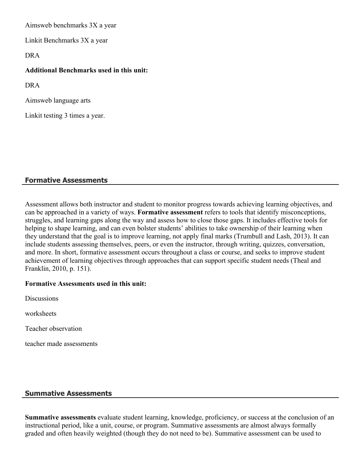Aimsweb benchmarks 3X a year

Linkit Benchmarks 3X a year

DRA

#### **Additional Benchmarks used in this unit:**

DRA

Aimsweb language arts

Linkit testing 3 times a year.

## **Formative Assessments**

Assessment allows both instructor and student to monitor progress towards achieving learning objectives, and can be approached in a variety of ways. **Formative assessment** refers to tools that identify misconceptions, struggles, and learning gaps along the way and assess how to close those gaps. It includes effective tools for helping to shape learning, and can even bolster students' abilities to take ownership of their learning when they understand that the goal is to improve learning, not apply final marks (Trumbull and Lash, 2013). It can include students assessing themselves, peers, or even the instructor, through writing, quizzes, conversation, and more. In short, formative assessment occurs throughout a class or course, and seeks to improve student achievement of learning objectives through approaches that can support specific student needs (Theal and Franklin, 2010, p. 151).

#### **Formative Assessments used in this unit:**

**Discussions** 

worksheets

Teacher observation

teacher made assessments

## **Summative Assessments**

**Summative assessments** evaluate student learning, knowledge, proficiency, or success at the conclusion of an instructional period, like a unit, course, or program. Summative assessments are almost always formally graded and often heavily weighted (though they do not need to be). Summative assessment can be used to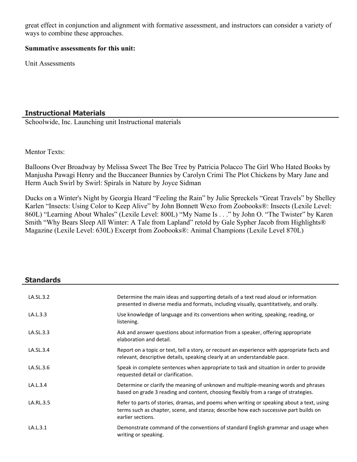great effect in conjunction and alignment with formative assessment, and instructors can consider a variety of ways to combine these approaches.

#### **Summative assessments for this unit:**

Unit Assessments

## **Instructional Materials**

Schoolwide, Inc. Launching unit Instructional materials

#### Mentor Texts:

Balloons Over Broadway by Melissa Sweet The Bee Tree by Patricia Polacco The Girl Who Hated Books by Manjusha Pawagi Henry and the Buccaneer Bunnies by Carolyn Crimi The Plot Chickens by Mary Jane and Herm Auch Swirl by Swirl: Spirals in Nature by Joyce Sidman

Ducks on a Winter's Night by Georgia Heard "Feeling the Rain" by Julie Spreckels "Great Travels" by Shelley Karlen "Insects: Using Color to Keep Alive" by John Bonnett Wexo from Zoobooks®: Insects (Lexile Level: 860L) "Learning About Whales" (Lexile Level: 800L) "My Name Is . . ." by John O. "The Twister" by Karen Smith "Why Bears Sleep All Winter: A Tale from Lapland" retold by Gale Sypher Jacob from Highlights® Magazine (Lexile Level: 630L) Excerpt from Zoobooks®: Animal Champions (Lexile Level 870L)

# **Standards**

| LA.SL.3.2 | Determine the main ideas and supporting details of a text read aloud or information<br>presented in diverse media and formats, including visually, quantitatively, and orally.                          |
|-----------|---------------------------------------------------------------------------------------------------------------------------------------------------------------------------------------------------------|
| LA.L.3.3  | Use knowledge of language and its conventions when writing, speaking, reading, or<br>listening.                                                                                                         |
| LA.SL.3.3 | Ask and answer questions about information from a speaker, offering appropriate<br>elaboration and detail.                                                                                              |
| LA.SL.3.4 | Report on a topic or text, tell a story, or recount an experience with appropriate facts and<br>relevant, descriptive details, speaking clearly at an understandable pace.                              |
| LA.SL.3.6 | Speak in complete sentences when appropriate to task and situation in order to provide<br>requested detail or clarification.                                                                            |
| LA.L.3.4  | Determine or clarify the meaning of unknown and multiple-meaning words and phrases<br>based on grade 3 reading and content, choosing flexibly from a range of strategies.                               |
| LA.RL.3.5 | Refer to parts of stories, dramas, and poems when writing or speaking about a text, using<br>terms such as chapter, scene, and stanza; describe how each successive part builds on<br>earlier sections. |
| LA.L.3.1  | Demonstrate command of the conventions of standard English grammar and usage when<br>writing or speaking.                                                                                               |